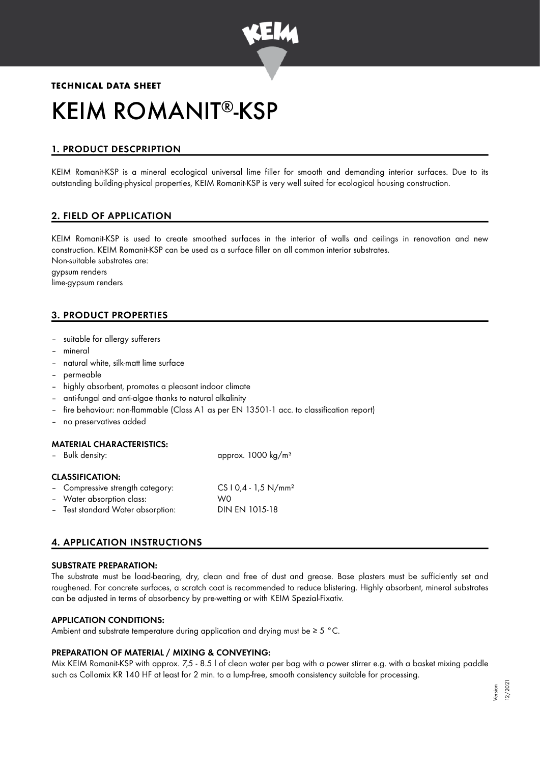

# **TECHNICAL DATA SHEET** KEIM ROMANIT®-KSP

# 1. PRODUCT DESCPRIPTION

KEIM Romanit-KSP is a mineral ecological universal lime filler for smooth and demanding interior surfaces. Due to its outstanding building-physical properties, KEIM Romanit-KSP is very well suited for ecological housing construction.

# 2. FIELD OF APPLICATION

KEIM Romanit-KSP is used to create smoothed surfaces in the interior of walls and ceilings in renovation and new construction. KEIM Romanit-KSP can be used as a surface filler on all common interior substrates. Non-suitable substrates are:

gypsum renders lime-gypsum renders

# 3. PRODUCT PROPERTIES

- suitable for allergy sufferers
- mineral
- natural white, silk-matt lime surface
- permeable
- highly absorbent, promotes a pleasant indoor climate
- anti-fungal and anti-algae thanks to natural alkalinity
- fire behaviour: non-flammable (Class A1 as per EN 13501-1 acc. to classification report)
- no preservatives added

#### MATERIAL CHARACTERISTICS:

Bulk density: approx. 1000 kg/m<sup>3</sup>

#### CLASSIFICATION:

| - Compressive strength category:  | $CS 10,4 - 1,5 N/mm2$ |
|-----------------------------------|-----------------------|
| - Water absorption class:         | W0.                   |
| - Test standard Water absorption: | DIN EN 1015-18        |

## 4. APPLICATION INSTRUCTIONS

#### SUBSTRATE PREPARATION:

The substrate must be load-bearing, dry, clean and free of dust and grease. Base plasters must be sufficiently set and roughened. For concrete surfaces, a scratch coat is recommended to reduce blistering. Highly absorbent, mineral substrates can be adjusted in terms of absorbency by pre-wetting or with KEIM Spezial-Fixativ.

## APPLICATION CONDITIONS:

Ambient and substrate temperature during application and drying must be  $\geq 5$  °C.

#### PREPARATION OF MATERIAL / MIXING & CONVEYING:

Mix KEIM Romanit-KSP with approx. 7,5 - 8.5 l of clean water per bag with a power stirrer e.g. with a basket mixing paddle such as Collomix KR 140 HF at least for 2 min. to a lump-free, smooth consistency suitable for processing.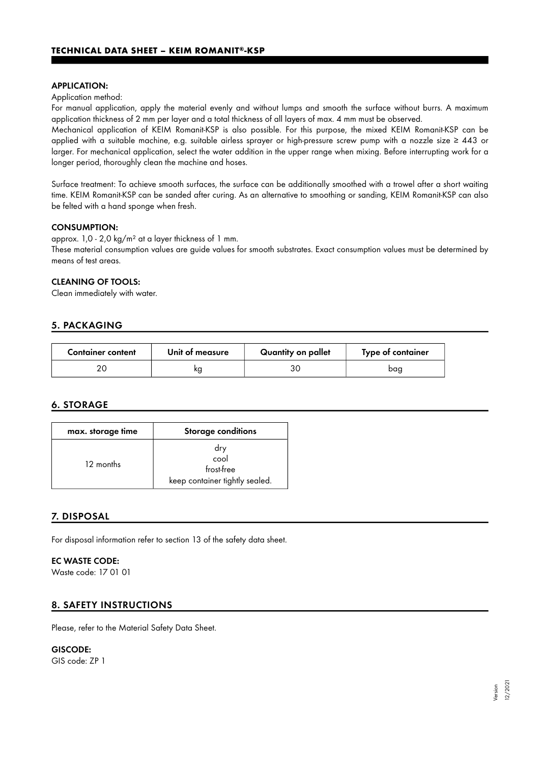#### APPLICATION:

#### Application method:

For manual application, apply the material evenly and without lumps and smooth the surface without burrs. A maximum application thickness of 2 mm per layer and a total thickness of all layers of max. 4 mm must be observed.

Mechanical application of KEIM Romanit-KSP is also possible. For this purpose, the mixed KEIM Romanit-KSP can be applied with a suitable machine, e.g. suitable airless sprayer or high-pressure screw pump with a nozzle size ≥ 443 or larger. For mechanical application, select the water addition in the upper range when mixing. Before interrupting work for a longer period, thoroughly clean the machine and hoses.

Surface treatment: To achieve smooth surfaces, the surface can be additionally smoothed with a trowel after a short waiting time. KEIM Romanit-KSP can be sanded after curing. As an alternative to smoothing or sanding, KEIM Romanit-KSP can also be felted with a hand sponge when fresh.

#### CONSUMPTION:

approx. 1,0 - 2,0 kg/m² at a layer thickness of 1 mm.

These material consumption values are guide values for smooth substrates. Exact consumption values must be determined by means of test areas.

#### CLEANING OF TOOLS:

Clean immediately with water.

### 5. PACKAGING

| <b>Container content</b> | Unit of measure | Quantity on pallet | Type of container |
|--------------------------|-----------------|--------------------|-------------------|
|                          | ĸg              | зс                 | bag               |

## 6. STORAGE

| max. storage time | <b>Storage conditions</b>                                   |
|-------------------|-------------------------------------------------------------|
| 12 months         | dry<br>cool<br>frost-free<br>keep container tightly sealed. |

#### 7. DISPOSAL

For disposal information refer to section 13 of the safety data sheet.

## EC WASTE CODE:

Waste code: 17 01 01

## 8. SAFETY INSTRUCTIONS

Please, refer to the Material Safety Data Sheet.

GISCODE:

GIS code: ZP 1